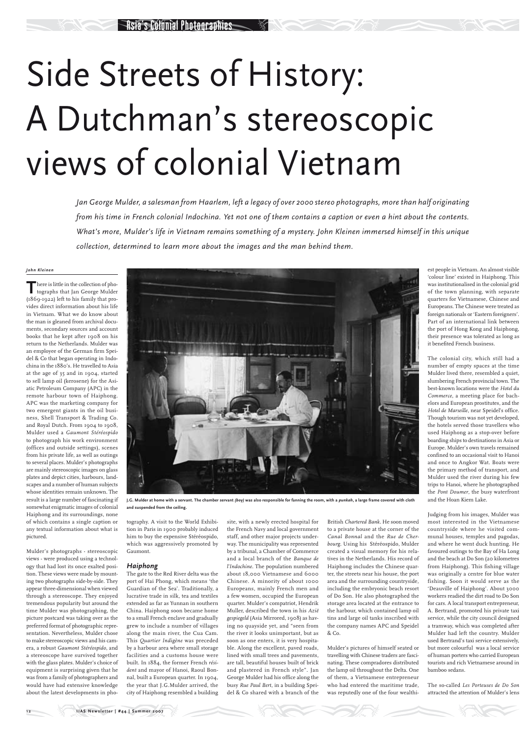## Side Streets of History: A Dutchman's stereoscopic views of colonial Vietnam

*Jan George Mulder, a salesman from Haarlem, left a legacy of over 2000 stereo photographs, more than half originating from his time in French colonial Indochina. Yet not one of them contains a caption or even a hint about the contents. What's more, Mulder's life in Vietnam remains something of a mystery. John Kleinen immersed himself in this unique collection, determined to learn more about the images and the man behind them.* 

*John Kleinen*

There is little in the collection of pho-<br>tographs that Jan George Mulder (1869-1922) left to his family that provides direct information about his life in Vietnam. What we do know about the man is gleaned from archival documents, secondary sources and account books that he kept after 1908 on his return to the Netherlands. Mulder was an employee of the German firm Speidel & Co that began operating in Indochina in the 1880's. He travelled to Asia at the age of 35 and in 1904, started to sell lamp oil (kerosene) for the Asiatic Petroleum Company (APC) in the remote harbour town of Haiphong. APC was the marketing company for two emergent giants in the oil business, Shell Transport & Trading Co. and Royal Dutch. From 1904 to 1908, Mulder used a *Gaumont Stéréospido* to photograph his work environment (offices and outside settings), scenes from his private life, as well as outings to several places. Mulder's photographs are mainly stereoscopic images on glass plates and depict cities, harbours, landscapes and a number of human subjects whose identities remain unknown. The result is a large number of fascinating if somewhat enigmatic images of colonial Haiphong and its surroundings, none of which contains a single caption or any textual information about what is pictured.

Mulder's photographs - stereoscopic

views - were produced using a technology that had lost its once exalted position. These views were made by mounting two photographs side-by-side. They appear three-dimensional when viewed through a stereoscope. They enjoyed tremendous popularity but around the time Mulder was photographing, the picture postcard was taking over as the preferred format of photographic representation. Nevertheless, Mulder chose to make stereoscopic views and his camera, a robust *Gaumont Stéréospido*, and a stereoscope have survived together with the glass plates. Mulder's choice of equipment is surprising given that he was from a family of photographers and would have had extensive knowledge about the latest developments in photography. A visit to the World Exhibition in Paris in 1900 probably induced him to buy the expensive Stéréospido, which was aggressively promoted by Gaumont.

## *Haiphong*

The gate to the Red River delta was the port of Hai Phong, which means 'the Guardian of the Sea'. Traditionally, a lucrative trade in silk, tea and textiles extended as far as Yunnan in southern China. Haiphong soon became home to a small French enclave and gradually grew to include a number of villages along the main river, the Cua Cam. This *Quartier Indigène* was preceded by a harbour area where small storage facilities and a customs house were built. In 1884, the former French *résident* and mayor of Hanoi, Raoul Bonnal, built a European quarter. In 1904, the year that J.G.Mulder arrived, the city of Haiphong resembled a building site, with a newly erected hospital for the French Navy and local government staff, and other major projects underway. The municipality was represented by a tribunal, a Chamber of Commerce and a local branch of the *Banque de l'Indochine*. The population numbered about 18,000 Vietnamese and 6000 Chinese. A minority of about 1000 Europeans, mainly French men and a few women, occupied the European quarter. Mulder's compatriot, Hendrik Muller, described the town in his *Azië gespiegeld* (Asia Mirrored, 1908) as having no quayside yet, and "seen from the river it looks unimportant, but as soon as one enters, it is very hospitable. Along the excellent, paved roads, lined with small trees and pavements, are tall, beautiful houses built of brick and plastered in French style". Jan George Mulder had his office along the busy *Rue Paul Bert*, in a building Speidel & Co shared with a branch of the

British *Chartered Bank*. He soon moved to a private house at the corner of the *Canal Bonnal* and the *Rue de Cherbourg*. Using his Stéréospido, Mulder created a visual memory for his rela-

tives in the Netherlands. His record of Haiphong includes the Chinese quarter, the streets near his house, the port area and the surrounding countryside, including the embryonic beach resort of Do Son. He also photographed the storage area located at the entrance to the harbour, which contained lamp oil tins and large oil tanks inscribed with the company names APC and Speidel & Co.

Mulder's pictures of himself seated or travelling with Chinese traders are fascinating. These compradores distributed the lamp oil throughout the Delta. One of them, a Vietnamese entrepreneur who had entered the maritime trade, was reputedly one of the four wealthiest people in Vietnam. An almost visible 'colour line' existed in Haiphong. This was institutionalised in the colonial grid of the town planning, with separate quarters for Vietnamese, Chinese and Europeans. The Chinese were treated as foreign nationals or 'Eastern foreigners'. Part of an international link between the port of Hong Kong and Haiphong, their presence was tolerated as long as it benefited French business.

The colonial city, which still had a number of empty spaces at the time Mulder lived there, resembled a quiet, slumbering French provincial town. The best-known locations were the *Hotel du Commerce*, a meeting place for bachelors and European prostitutes, and the *Hotel de Marseille*, near Speidel's office. Though tourism was not yet developed, the hotels served those travellers who used Haiphong as a stop-over before boarding ships to destinations in Asia or Europe. Mulder's own travels remained confined to an occasional visit to Hanoi and once to Angkor Wat. Boats were the primary method of transport, and Mulder used the river during his few trips to Hanoi, where he photographed the *Pont Doumer*, the busy waterfront and the Hoan Kiem Lake.

Judging from his images, Mulder was most interested in the Vietnamese countryside where he visited communal houses, temples and pagodas, and where he went duck hunting. He favoured outings to the Bay of Ha Long and the beach at Do Son (20 kilometres from Haiphong). This fishing village was originally a centre for blue water fishing. Soon it would serve as the 'Deauville of Haiphong'. About 3000 workers readied the dirt road to Do Son for cars. A local transport entrepreneur, A. Bertrand, promoted his private taxi service, while the city council designed a tramway, which was completed after Mulder had left the country. Mulder used Bertrand's taxi service extensively, but more colourful was a local service of human porters who carried European tourists and rich Vietnamese around in bamboo sedans.

The so-called *Les Porteuses de Do Son* attracted the attention of Mulder's lens



**J.G. Mulder at home with a servant. The chamber servant** *(boy)* **was also responsible for fanning the room, with a** *punkah***, a large frame covered with cloth and suspended from the ceiling.**